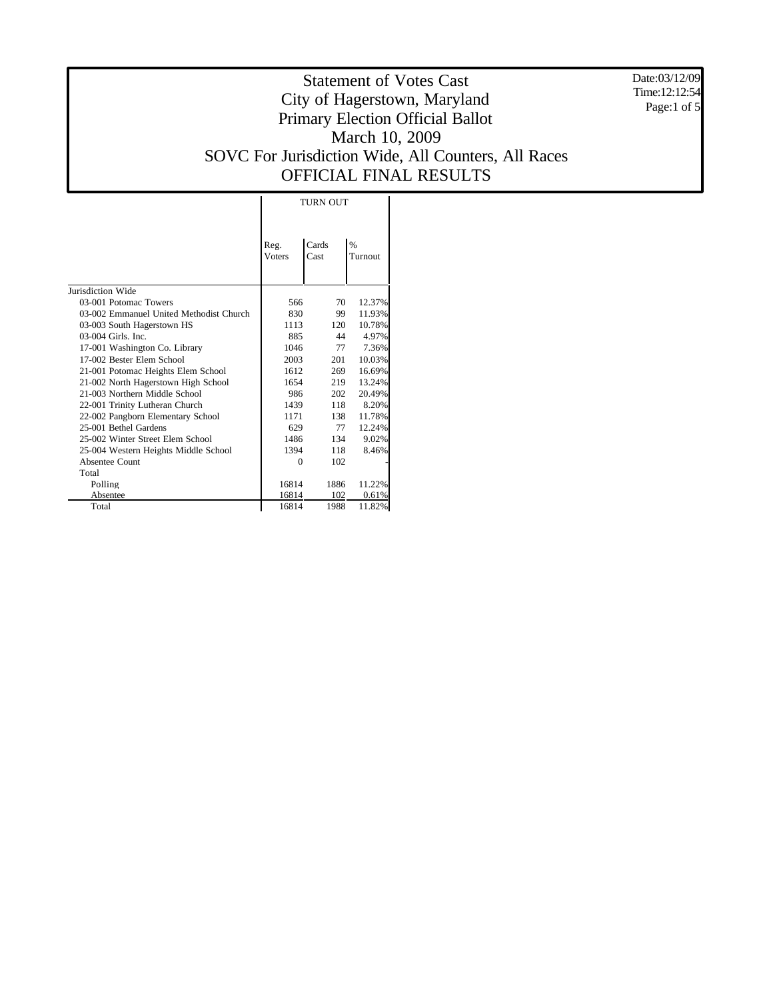Date:03/12/09 Time:12:12:54 Page:1 of 5

|                                         | TURN OUT              |               |                 |  |  |
|-----------------------------------------|-----------------------|---------------|-----------------|--|--|
|                                         | Reg.<br><b>Voters</b> | Cards<br>Cast | $\%$<br>Turnout |  |  |
| Jurisdiction Wide                       |                       |               |                 |  |  |
| 03-001 Potomac Towers                   | 566                   | 70            | 12.37%          |  |  |
| 03-002 Emmanuel United Methodist Church | 830                   | 99.           | 11.93%          |  |  |
| 03-003 South Hagerstown HS              | 1113                  | 120           | 10.78%          |  |  |
| 03-004 Girls. Inc.                      | 885                   | 44            | 4.97%           |  |  |
| 17-001 Washington Co. Library           | 1046                  | 77            | 7.36%           |  |  |
| 17-002 Bester Elem School               | 2003                  | 201           | 10.03%          |  |  |
| 21-001 Potomac Heights Elem School      | 1612                  | 269           | 16.69%          |  |  |
| 21-002 North Hagerstown High School     | 1654                  | 219           | 13.24%          |  |  |
| 21-003 Northern Middle School           | 986                   | 202           | 20.49%          |  |  |
| 22-001 Trinity Lutheran Church          | 1439                  | 118           | 8.20%           |  |  |
| 22-002 Pangborn Elementary School       | 1171                  | 138           | 11.78%          |  |  |
| 25-001 Bethel Gardens                   | 629                   | 77            | 12.24%          |  |  |
| 25-002 Winter Street Elem School        | 1486                  | 134           | 9.02%           |  |  |
| 25-004 Western Heights Middle School    | 1394                  | 118           | 8.46%           |  |  |
| Absentee Count                          | $\theta$              | 102           |                 |  |  |
| Total                                   |                       |               |                 |  |  |
| Polling                                 | 16814                 | 1886          | 11.22%          |  |  |
| Absentee                                | 16814                 | 102           | 0.61%           |  |  |
| Total                                   | 16814                 | 1988          | 11.82%          |  |  |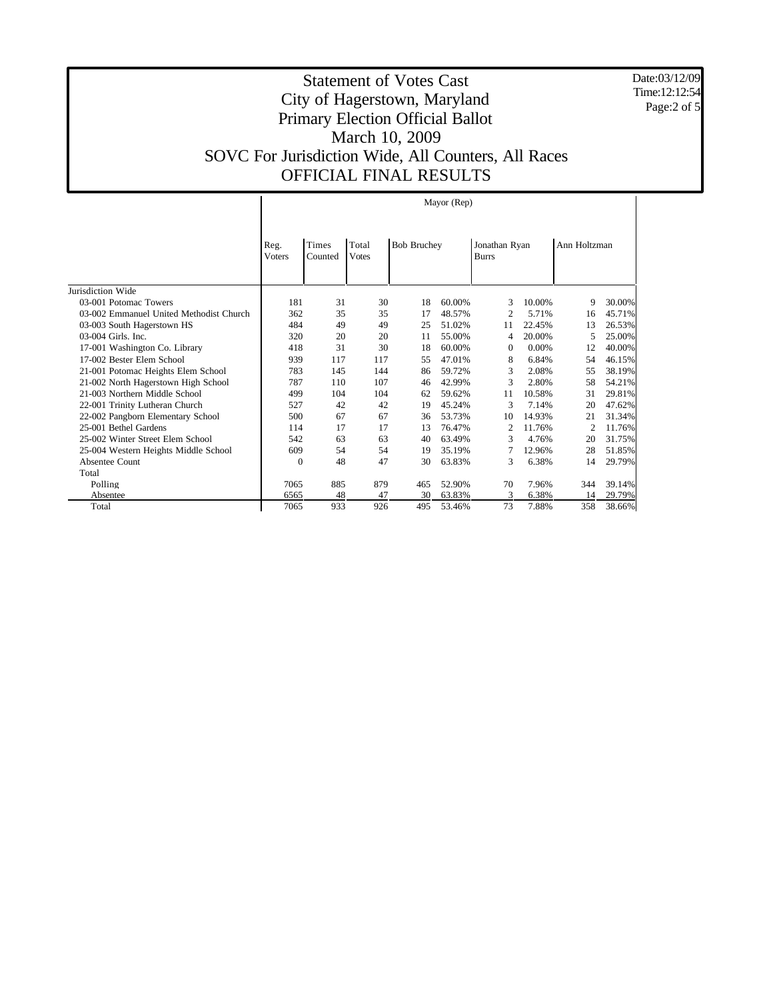Date:03/12/09 Time:12:12:54 Page:2 of 5

|                                         | Mayor (Rep)           |                         |                       |                    |        |                               |        |                |        |
|-----------------------------------------|-----------------------|-------------------------|-----------------------|--------------------|--------|-------------------------------|--------|----------------|--------|
|                                         | Reg.<br><b>Voters</b> | <b>Times</b><br>Counted | Total<br><b>Votes</b> | <b>Bob Bruchey</b> |        | Jonathan Ryan<br><b>Burrs</b> |        | Ann Holtzman   |        |
| Jurisdiction Wide                       |                       |                         |                       |                    |        |                               |        |                |        |
| 03-001 Potomac Towers                   | 181                   | 31                      | 30                    | 18                 | 60.00% | 3                             | 10.00% | 9              | 30.00% |
| 03-002 Emmanuel United Methodist Church | 362                   | 35                      | 35                    | 17                 | 48.57% | $\overline{c}$                | 5.71%  | 16             | 45.71% |
| 03-003 South Hagerstown HS              | 484                   | 49                      | 49                    | 25                 | 51.02% | 11                            | 22.45% | 13             | 26.53% |
| 03-004 Girls. Inc.                      | 320                   | 20                      | 20                    | 11                 | 55.00% | 4                             | 20.00% | 5              | 25.00% |
| 17-001 Washington Co. Library           | 418                   | 31                      | 30                    | 18                 | 60.00% | $\boldsymbol{0}$              | 0.00%  | 12             | 40.00% |
| 17-002 Bester Elem School               | 939                   | 117                     | 117                   | 55                 | 47.01% | 8                             | 6.84%  | 54             | 46.15% |
| 21-001 Potomac Heights Elem School      | 783                   | 145                     | 144                   | 86                 | 59.72% | 3                             | 2.08%  | 55             | 38.19% |
| 21-002 North Hagerstown High School     | 787                   | 110                     | 107                   | 46                 | 42.99% | 3                             | 2.80%  | 58             | 54.21% |
| 21-003 Northern Middle School           | 499                   | 104                     | 104                   | 62                 | 59.62% | 11                            | 10.58% | 31             | 29.81% |
| 22-001 Trinity Lutheran Church          | 527                   | 42                      | 42                    | 19                 | 45.24% | 3                             | 7.14%  | 20             | 47.62% |
| 22-002 Pangborn Elementary School       | 500                   | 67                      | 67                    | 36                 | 53.73% | 10                            | 14.93% | 21             | 31.34% |
| 25-001 Bethel Gardens                   | 114                   | 17                      | 17                    | 13                 | 76.47% | $\overline{c}$                | 11.76% | $\overline{2}$ | 11.76% |
| 25-002 Winter Street Elem School        | 542                   | 63                      | 63                    | 40                 | 63.49% | 3                             | 4.76%  | 20             | 31.75% |
| 25-004 Western Heights Middle School    | 609                   | 54                      | 54                    | 19                 | 35.19% | 7                             | 12.96% | 28             | 51.85% |
| Absentee Count                          | $\mathbf{0}$          | 48                      | 47                    | 30                 | 63.83% | 3                             | 6.38%  | 14             | 29.79% |
| Total                                   |                       |                         |                       |                    |        |                               |        |                |        |
| Polling                                 | 7065                  | 885                     | 879                   | 465                | 52.90% | 70                            | 7.96%  | 344            | 39.14% |
| Absentee                                | 6565                  | 48                      | 47                    | 30                 | 63.83% | 3                             | 6.38%  | 14             | 29.79% |
| Total                                   | 7065                  | 933                     | 926                   | 495                | 53.46% | 73                            | 7.88%  | 358            | 38.66% |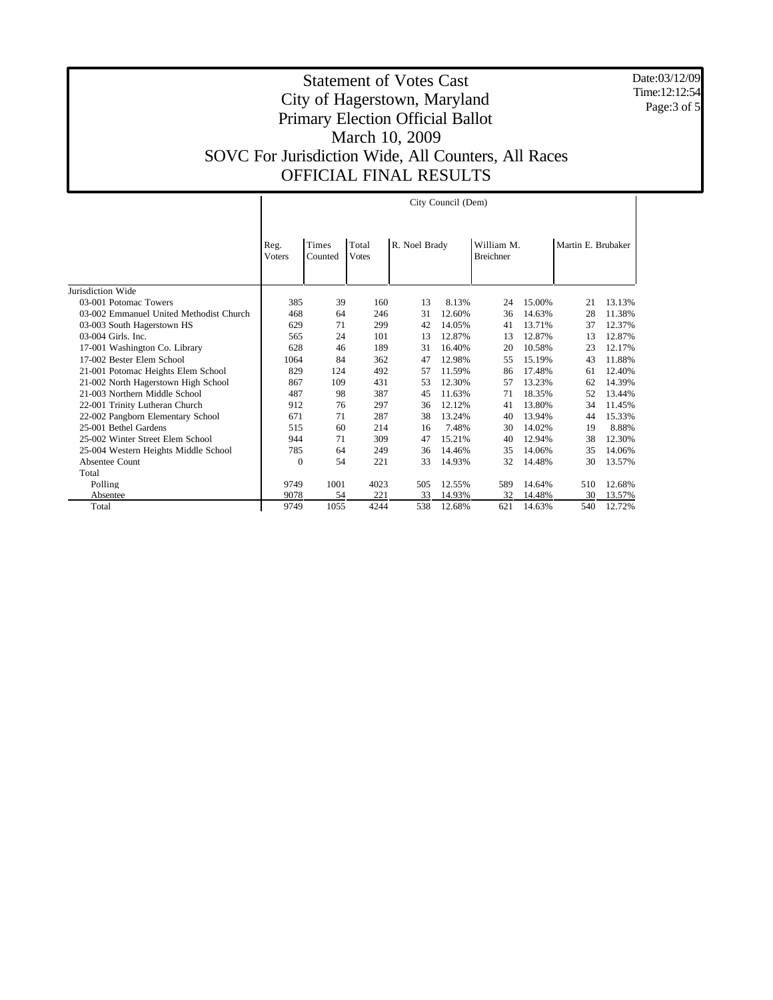Date:03/12/09 Time:12:12:54 Page:3 of 5

|                                         | City Council (Dem)    |                  |                       |               |        |                                |        |                    |        |
|-----------------------------------------|-----------------------|------------------|-----------------------|---------------|--------|--------------------------------|--------|--------------------|--------|
|                                         | Reg.<br><b>Voters</b> | Times<br>Counted | Total<br><b>Votes</b> | R. Noel Brady |        | William M.<br><b>Breichner</b> |        | Martin E. Brubaker |        |
| Jurisdiction Wide                       |                       |                  |                       |               |        |                                |        |                    |        |
| 03-001 Potomac Towers                   | 385                   | 39               | 160                   | 13            | 8.13%  | 24                             | 15.00% | 21                 | 13.13% |
| 03-002 Emmanuel United Methodist Church | 468                   | 64               | 246                   | 31            | 12.60% | 36                             | 14.63% | 28                 | 11.38% |
| 03-003 South Hagerstown HS              | 629                   | 71               | 299                   | 42            | 14.05% | 41                             | 13.71% | 37                 | 12.37% |
| 03-004 Girls. Inc.                      | 565                   | 24               | 101                   | 13            | 12.87% | 13                             | 12.87% | 13                 | 12.87% |
| 17-001 Washington Co. Library           | 628                   | 46               | 189                   | 31            | 16.40% | 20                             | 10.58% | 23                 | 12.17% |
| 17-002 Bester Elem School               | 1064                  | 84               | 362                   | 47            | 12.98% | 55                             | 15.19% | 43                 | 11.88% |
| 21-001 Potomac Heights Elem School      | 829                   | 124              | 492                   | 57            | 11.59% | 86                             | 17.48% | 61                 | 12.40% |
| 21-002 North Hagerstown High School     | 867                   | 109              | 431                   | 53            | 12.30% | 57                             | 13.23% | 62                 | 14.39% |
| 21-003 Northern Middle School           | 487                   | 98               | 387                   | 45            | 11.63% | 71                             | 18.35% | 52                 | 13.44% |
| 22-001 Trinity Lutheran Church          | 912                   | 76               | 297                   | 36            | 12.12% | 41                             | 13.80% | 34                 | 11.45% |
| 22-002 Pangborn Elementary School       | 671                   | 71               | 287                   | 38            | 13.24% | 40                             | 13.94% | 44                 | 15.33% |
| 25-001 Bethel Gardens                   | 515                   | 60               | 214                   | 16            | 7.48%  | 30                             | 14.02% | 19                 | 8.88%  |
| 25-002 Winter Street Elem School        | 944                   | 71               | 309                   | 47            | 15.21% | 40                             | 12.94% | 38                 | 12.30% |
| 25-004 Western Heights Middle School    | 785                   | 64               | 249                   | 36            | 14.46% | 35                             | 14.06% | 35                 | 14.06% |
| Absentee Count                          | $\mathbf{0}$          | 54               | 221                   | 33            | 14.93% | 32                             | 14.48% | 30                 | 13.57% |
| Total                                   |                       |                  |                       |               |        |                                |        |                    |        |
| Polling                                 | 9749                  | 1001             | 4023                  | 505           | 12.55% | 589                            | 14.64% | 510                | 12.68% |
| Absentee                                | 9078                  | 54               | 221                   | 33            | 14.93% | 32                             | 14.48% | 30                 | 13.57% |
| Total                                   | 9749                  | 1055             | 4244                  | 538           | 12.68% | 621                            | 14.63% | 540                | 12.72% |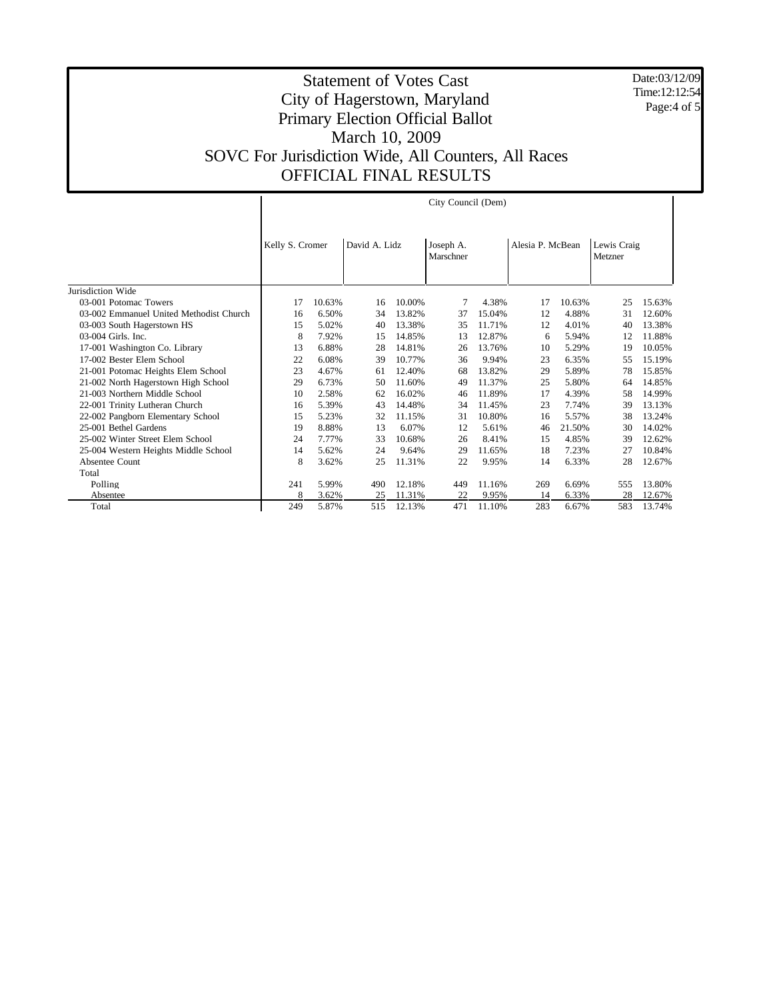Date:03/12/09 Time:12:12:54 Page:4 of 5

|                                         | City Council (Dem) |        |               |        |                        |        |                  |        |                        |        |
|-----------------------------------------|--------------------|--------|---------------|--------|------------------------|--------|------------------|--------|------------------------|--------|
|                                         | Kelly S. Cromer    |        | David A. Lidz |        | Joseph A.<br>Marschner |        | Alesia P. McBean |        | Lewis Craig<br>Metzner |        |
| Jurisdiction Wide                       |                    |        |               |        |                        |        |                  |        |                        |        |
| 03-001 Potomac Towers                   | 17                 | 10.63% | 16            | 10.00% | 7                      | 4.38%  | 17               | 10.63% | 25                     | 15.63% |
| 03-002 Emmanuel United Methodist Church | 16                 | 6.50%  | 34            | 13.82% | 37                     | 15.04% | 12               | 4.88%  | 31                     | 12.60% |
| 03-003 South Hagerstown HS              | 15                 | 5.02%  | 40            | 13.38% | 35                     | 11.71% | 12               | 4.01%  | 40                     | 13.38% |
| 03-004 Girls. Inc.                      | 8                  | 7.92%  | 15            | 14.85% | 13                     | 12.87% | 6                | 5.94%  | 12                     | 11.88% |
| 17-001 Washington Co. Library           | 13                 | 6.88%  | 28            | 14.81% | 26                     | 13.76% | 10               | 5.29%  | 19                     | 10.05% |
| 17-002 Bester Elem School               | 22                 | 6.08%  | 39            | 10.77% | 36                     | 9.94%  | 23               | 6.35%  | 55                     | 15.19% |
| 21-001 Potomac Heights Elem School      | 23                 | 4.67%  | 61            | 12.40% | 68                     | 13.82% | 29               | 5.89%  | 78                     | 15.85% |
| 21-002 North Hagerstown High School     | 29                 | 6.73%  | 50            | 11.60% | 49                     | 11.37% | 25               | 5.80%  | 64                     | 14.85% |
| 21-003 Northern Middle School           | 10                 | 2.58%  | 62            | 16.02% | 46                     | 11.89% | 17               | 4.39%  | 58                     | 14.99% |
| 22-001 Trinity Lutheran Church          | 16                 | 5.39%  | 43            | 14.48% | 34                     | 11.45% | 23               | 7.74%  | 39                     | 13.13% |
| 22-002 Pangborn Elementary School       | 15                 | 5.23%  | 32            | 11.15% | 31                     | 10.80% | 16               | 5.57%  | 38                     | 13.24% |
| 25-001 Bethel Gardens                   | 19                 | 8.88%  | 13            | 6.07%  | 12                     | 5.61%  | 46               | 21.50% | 30                     | 14.02% |
| 25-002 Winter Street Elem School        | 24                 | 7.77%  | 33            | 10.68% | 26                     | 8.41%  | 15               | 4.85%  | 39                     | 12.62% |
| 25-004 Western Heights Middle School    | 14                 | 5.62%  | 24            | 9.64%  | 29                     | 11.65% | 18               | 7.23%  | 27                     | 10.84% |
| Absentee Count                          | 8                  | 3.62%  | 25            | 11.31% | 22                     | 9.95%  | 14               | 6.33%  | 28                     | 12.67% |
| Total                                   |                    |        |               |        |                        |        |                  |        |                        |        |
| Polling                                 | 241                | 5.99%  | 490           | 12.18% | 449                    | 11.16% | 269              | 6.69%  | 555                    | 13.80% |
| Absentee                                | 8                  | 3.62%  | 25            | 11.31% | 22                     | 9.95%  | 14               | 6.33%  | 28                     | 12.67% |
| Total                                   | 249                | 5.87%  | 515           | 12.13% | 471                    | 11.10% | 283              | 6.67%  | 583                    | 13.74% |